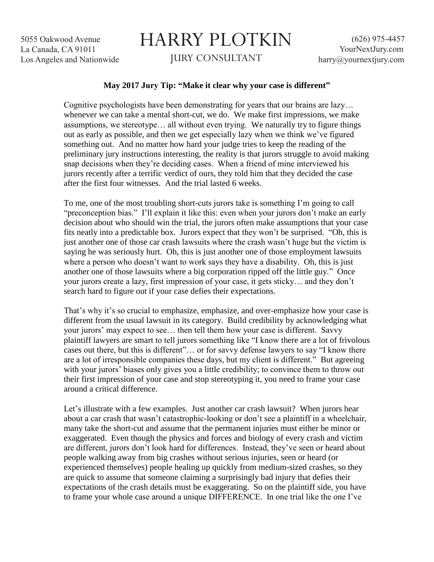5055 Oakwood Avenue La Canada, CA 91011 Los Angeles and Nationwide

## HARRY PLOTKIN JURY CONSULTANT

## **May 2017 Jury Tip: "Make it clear why your case is different"**

Cognitive psychologists have been demonstrating for years that our brains are lazy… whenever we can take a mental short-cut, we do. We make first impressions, we make assumptions, we stereotype… all without even trying. We naturally try to figure things out as early as possible, and then we get especially lazy when we think we've figured something out. And no matter how hard your judge tries to keep the reading of the preliminary jury instructions interesting, the reality is that jurors struggle to avoid making snap decisions when they're deciding cases. When a friend of mine interviewed his jurors recently after a terrific verdict of ours, they told him that they decided the case after the first four witnesses. And the trial lasted 6 weeks.

To me, one of the most troubling short-cuts jurors take is something I'm going to call "preconception bias." I'll explain it like this: even when your jurors don't make an early decision about who should win the trial, the jurors often make assumptions that your case fits neatly into a predictable box. Jurors expect that they won't be surprised. "Oh, this is just another one of those car crash lawsuits where the crash wasn't huge but the victim is saying he was seriously hurt. Oh, this is just another one of those employment lawsuits where a person who doesn't want to work says they have a disability. Oh, this is just another one of those lawsuits where a big corporation ripped off the little guy." Once your jurors create a lazy, first impression of your case, it gets sticky… and they don't search hard to figure out if your case defies their expectations.

That's why it's so crucial to emphasize, emphasize, and over-emphasize how your case is different from the usual lawsuit in its category. Build credibility by acknowledging what your jurors' may expect to see… then tell them how your case is different. Savvy plaintiff lawyers are smart to tell jurors something like "I know there are a lot of frivolous cases out there, but this is different"… or for savvy defense lawyers to say "I know there are a lot of irresponsible companies these days, but my client is different." But agreeing with your jurors' biases only gives you a little credibility; to convince them to throw out their first impression of your case and stop stereotyping it, you need to frame your case around a critical difference.

Let's illustrate with a few examples. Just another car crash lawsuit? When jurors hear about a car crash that wasn't catastrophic-looking or don't see a plaintiff in a wheelchair, many take the short-cut and assume that the permanent injuries must either be minor or exaggerated. Even though the physics and forces and biology of every crash and victim are different, jurors don't look hard for differences. Instead, they've seen or heard about people walking away from big crashes without serious injuries, seen or heard (or experienced themselves) people healing up quickly from medium-sized crashes, so they are quick to assume that someone claiming a surprisingly bad injury that defies their expectations of the crash details must be exaggerating. So on the plaintiff side, you have to frame your whole case around a unique DIFFERENCE. In one trial like the one I've